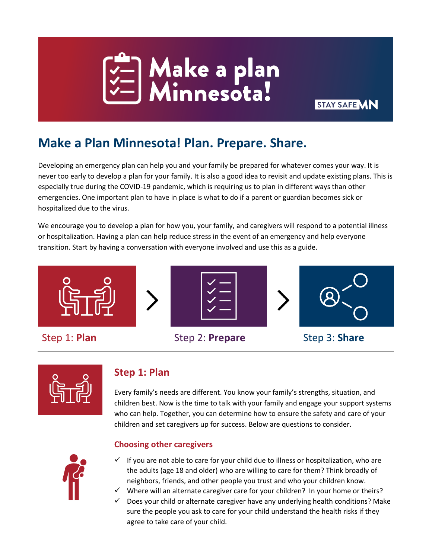

# **Make a Plan Minnesota! Plan. Prepare. Share.**

Developing an emergency plan can help you and your family be prepared for whatever comes your way. It is never too early to develop a plan for your family. It is also a good idea to revisit and update existing plans. This is especially true during the COVID-19 pandemic, which is requiring us to plan in different ways than other emergencies. One important plan to have in place is what to do if a parent or guardian becomes sick or hospitalized due to the virus.

**STAY SAFE VIN** 

We encourage you to develop a plan for how you, your family, and caregivers will respond to a potential illness or hospitalization. Having a plan can help reduce stress in the event of an emergency and help everyone transition. Start by having a conversation with everyone involved and use this as a guide.





## **Step 1: Plan**

Every family's needs are different. You know your family's strengths, situation, and children best. Now is the time to talk with your family and engage your support systems who can help. Together, you can determine how to ensure the safety and care of your children and set caregivers up for success. Below are questions to consider.



#### **Choosing other caregivers**

- $\checkmark$  If you are not able to care for your child due to illness or hospitalization, who are the adults (age 18 and older) who are willing to care for them? Think broadly of neighbors, friends, and other people you trust and who your children know.
- $\checkmark$  Where will an alternate caregiver care for your children? In your home or theirs?
- $\checkmark$  Does your child or alternate caregiver have any underlying health conditions? Make sure the people you ask to care for your child understand the health risks if they agree to take care of your child.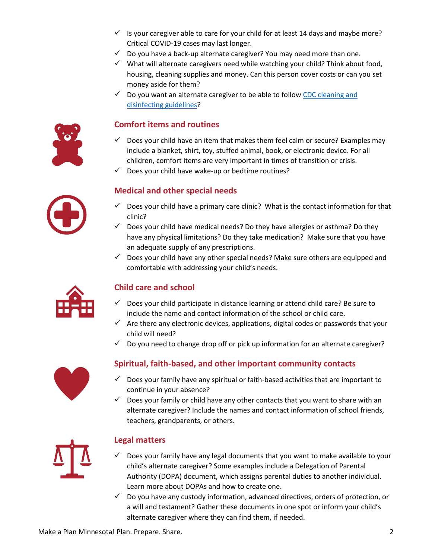- $\checkmark$  Is your caregiver able to care for your child for at least 14 days and maybe more? Critical COVID-19 cases may last longer.
- $\checkmark$  Do you have a back-up alternate caregiver? You may need more than one.
- $\checkmark$  What will alternate caregivers need while watching your child? Think about food, housing, cleaning supplies and money. Can this person cover costs or can you set money aside for them?
- $\checkmark$  Do you want an alternate caregiver to be able to follow CDC cleaning and [disinfecting guidelines?](https://www.cdc.gov/coronavirus/2019-ncov/prevent-getting-sick/cleaning-disinfection.html)

#### **Comfort items and routines**

- Does your child have an item that makes them feel calm or secure? Examples may include a blanket, shirt, toy, stuffed animal, book, or electronic device. For all children, comfort items are very important in times of transition or crisis.
- $\checkmark$  Does your child have wake-up or bedtime routines?

#### **Medical and other special needs**

- $\checkmark$  Does your child have a primary care clinic? What is the contact information for that clinic?
- $\checkmark$  Does your child have medical needs? Do they have allergies or asthma? Do they have any physical limitations? Do they take medication? Make sure that you have an adequate supply of any prescriptions.
- $\checkmark$  Does your child have any other special needs? Make sure others are equipped and comfortable with addressing your child's needs.



#### **Child care and school**

- $\checkmark$  Does your child participate in distance learning or attend child care? Be sure to include the name and contact information of the school or child care.
- $\checkmark$  Are there any electronic devices, applications, digital codes or passwords that your child will need?
- $\checkmark$  Do you need to change drop off or pick up information for an alternate caregiver?



#### **Spiritual, faith-based, and other important community contacts**

- $\checkmark$  Does your family have any spiritual or faith-based activities that are important to continue in your absence?
- $\checkmark$  Does your family or child have any other contacts that you want to share with an alternate caregiver? Include the names and contact information of school friends, teachers, grandparents, or others.



#### **Legal matters**

- $\checkmark$  Does your family have any legal documents that you want to make available to your child's alternate caregiver? Some examples include a Delegation of Parental Authority (DOPA) document, which assigns parental duties to another individual. [Learn more](https://www.vlnmn.org/wp-content/uploads/2014/02/VLN-Tip-of-the-Month-April-2017-Family-Preparedness-Toolkit.pdf) about DOPAs and how to create one.
- $\checkmark$  Do you have any custody information, advanced directives, orders of protection, or a will and testament? Gather these documents in one spot or inform your child's alternate caregiver where they can find them, if needed.

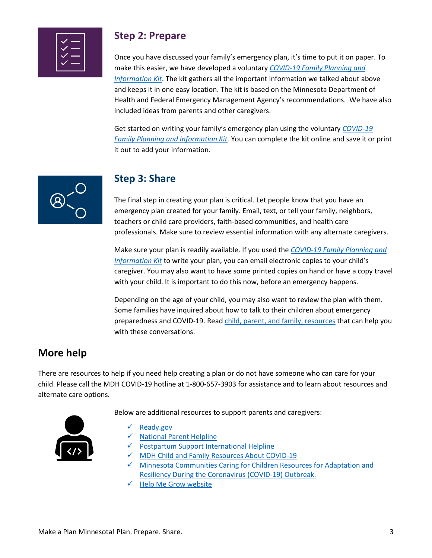|--|

### **Step 2: Prepare**

Once you have discussed your family's emergency plan, it's time to put it on paper. To make this easier, we have developed a voluntary *[COVID-19 Family Planning and](https://mn.gov/mmb-stat/childrens-cabinet/covid-19-emergency-family-planning.pdf)  [Information Kit](https://mn.gov/mmb-stat/childrens-cabinet/covid-19-emergency-family-planning.pdf)*. The kit gathers all the important information we talked about above and keeps it in one easy location. The kit is based on the Minnesota Department of Health and Federal Emergency Management Agency's recommendations. We have also included ideas from parents and other caregivers.

Get started on writing your family's emergency plan using the voluntary *[COVID-19](https://mn.gov/mmb-stat/childrens-cabinet/covid-19-emergency-family-planning.pdf)  [Family Planning and Information Kit.](https://mn.gov/mmb-stat/childrens-cabinet/covid-19-emergency-family-planning.pdf)* You can complete the kit online and save it or print it out to add your information.



## **Step 3: Share**

The final step in creating your plan is critical. Let people know that you have an emergency plan created for your family. Email, text, or tell your family, neighbors, teachers or child care providers, faith-based communities, and health care professionals. Make sure to review essential information with any alternate caregivers.

Make sure your plan is readily available. If you used the *[COVID-19 Family Planning and](https://mn.gov/mmb-stat/childrens-cabinet/covid-19-emergency-family-planning.pdf)  [Information Kit](https://mn.gov/mmb-stat/childrens-cabinet/covid-19-emergency-family-planning.pdf)* to write your plan, you can email electronic copies to your child's caregiver. You may also want to have some printed copies on hand or have a copy travel with your child. It is important to do this now, before an emergency happens.

Depending on the age of your child, you may also want to review the plan with them. Some families have inquired about how to talk to their children about emergency preparedness and COVID-19. Rea[d child, parent, and family, resources](https://www.health.state.mn.us/communities/ep/behavioral/covid19.html#family) that can help you with these conversations.

## **More help**

There are resources to help if you need help creating a plan or do not have someone who can care for your child. Please call the MDH COVID-19 hotline at 1-800-657-3903 for assistance and to learn about resources and alternate care options.

Below are additional resources to support parents and caregivers:



- [Ready.gov](https://www.ready.gov/)
- [National Parent Helpline](http://www.nationalparenthelpline.org/)
- $\checkmark$  Postpartum Support International Helpline
- $\checkmark$  [MDH Child and Family Resources About COVID-19](https://www.health.state.mn.us/communities/ep/behavioral/covid19.html#family)
- √ Minnesota Communities Caring for Children Resources for Adaptation and [Resiliency During the Coronavirus \(COVID-19\) Outbreak.](https://www.pcamn.org/prevention-resources/)
- $\sqrt{\frac{H}{H}}$  [Help Me Grow website](https://gcc01.safelinks.protection.outlook.com/?url=http%3A%2F%2Fhelpmegrowmn.org%2FHMG%2Findex.htm&data=02%7C01%7Cstephanie.hogenson%40state.mn.us%7Cb6aeec33aabe40c8774508d7d63ec31d%7Ceb14b04624c445198f26b89c2159828c%7C0%7C0%7C637213437352447397&sdata=bj0Sy%2B74CqaiZe0VAWecjZ%2BgkGZrTxNvddKQ5qPACG4%3D&reserved=0)